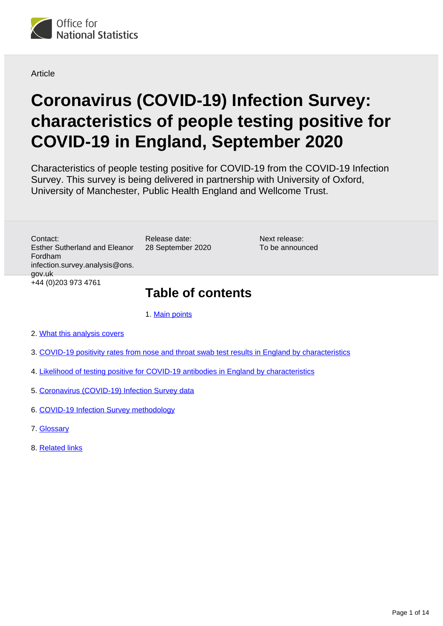

**Article** 

# **Coronavirus (COVID-19) Infection Survey: characteristics of people testing positive for COVID-19 in England, September 2020**

Characteristics of people testing positive for COVID-19 from the COVID-19 Infection Survey. This survey is being delivered in partnership with University of Oxford, University of Manchester, Public Health England and Wellcome Trust.

Contact: Esther Sutherland and Eleanor Fordham infection.survey.analysis@ons. gov.uk +44 (0)203 973 4761

28 September 2020

Release date:

Next release: To be announced

## **Table of contents**

1. [Main points](#page-1-0)

- 2. [What this analysis covers](#page-1-1)
- 3. [COVID-19 positivity rates from nose and throat swab test results in England by characteristics](#page-1-2)
- 4. [Likelihood of testing positive for COVID-19 antibodies in England by characteristics](#page-7-0)
- 5. [Coronavirus \(COVID-19\) Infection Survey data](#page-11-0)
- 6. [COVID-19 Infection Survey methodology](#page-11-1)
- 7. [Glossary](#page-12-0)
- 8. [Related links](#page-13-0)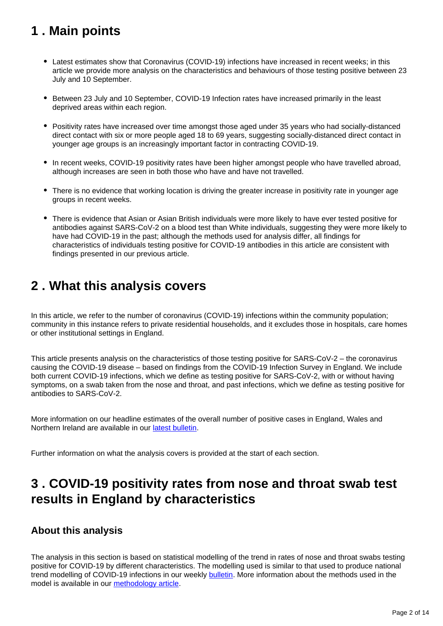## <span id="page-1-0"></span>**1 . Main points**

- Latest estimates show that Coronavirus (COVID-19) infections have increased in recent weeks; in this article we provide more analysis on the characteristics and behaviours of those testing positive between 23 July and 10 September.
- Between 23 July and 10 September, COVID-19 Infection rates have increased primarily in the least deprived areas within each region.
- Positivity rates have increased over time amongst those aged under 35 years who had socially-distanced direct contact with six or more people aged 18 to 69 years, suggesting socially-distanced direct contact in younger age groups is an increasingly important factor in contracting COVID-19.
- In recent weeks, COVID-19 positivity rates have been higher amongst people who have travelled abroad, although increases are seen in both those who have and have not travelled.
- There is no evidence that working location is driving the greater increase in positivity rate in younger age groups in recent weeks.
- There is evidence that Asian or Asian British individuals were more likely to have ever tested positive for antibodies against SARS-CoV-2 on a blood test than White individuals, suggesting they were more likely to have had COVID-19 in the past; although the methods used for analysis differ, all findings for characteristics of individuals testing positive for COVID-19 antibodies in this article are consistent with findings presented in our previous article.

## <span id="page-1-1"></span>**2 . What this analysis covers**

In this article, we refer to the number of coronavirus (COVID-19) infections within the community population; community in this instance refers to private residential households, and it excludes those in hospitals, care homes or other institutional settings in England.

This article presents analysis on the characteristics of those testing positive for SARS-CoV-2 – the coronavirus causing the COVID-19 disease – based on findings from the COVID-19 Infection Survey in England. We include both current COVID-19 infections, which we define as testing positive for SARS-CoV-2, with or without having symptoms, on a swab taken from the nose and throat, and past infections, which we define as testing positive for antibodies to SARS-CoV-2.

More information on our headline estimates of the overall number of positive cases in England, Wales and Northern Ireland are available in our [latest bulletin](https://www.ons.gov.uk/peoplepopulationandcommunity/healthandsocialcare/conditionsanddiseases/bulletins/coronaviruscovid19infectionsurveypilot/latest).

Further information on what the analysis covers is provided at the start of each section.

## <span id="page-1-2"></span>**3 . COVID-19 positivity rates from nose and throat swab test results in England by characteristics**

## **About this analysis**

The analysis in this section is based on statistical modelling of the trend in rates of nose and throat swabs testing positive for COVID-19 by different characteristics. The modelling used is similar to that used to produce national trend modelling of COVID-19 infections in our weekly **[bulletin](https://www.ons.gov.uk/peoplepopulationandcommunity/healthandsocialcare/conditionsanddiseases/bulletins/coronaviruscovid19infectionsurveypilot/latest)**. More information about the methods used in the model is available in our [methodology article](https://www.ons.gov.uk/peoplepopulationandcommunity/healthandsocialcare/conditionsanddiseases/methodologies/covid19infectionsurveypilotmethodsandfurtherinformation).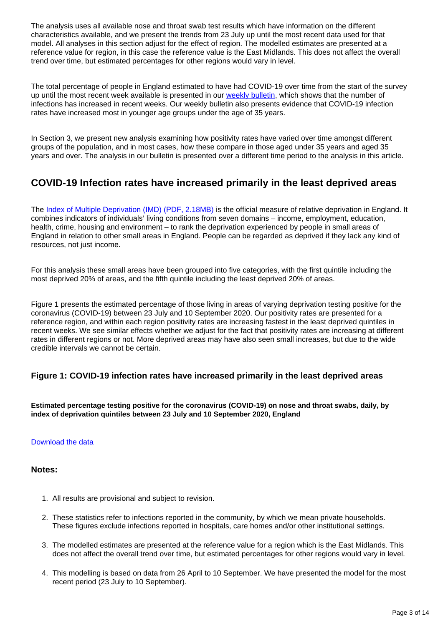The analysis uses all available nose and throat swab test results which have information on the different characteristics available, and we present the trends from 23 July up until the most recent data used for that model. All analyses in this section adjust for the effect of region. The modelled estimates are presented at a reference value for region, in this case the reference value is the East Midlands. This does not affect the overall trend over time, but estimated percentages for other regions would vary in level.

The total percentage of people in England estimated to have had COVID-19 over time from the start of the survey up until the most recent week available is presented in our [weekly bulletin,](https://www.ons.gov.uk/peoplepopulationandcommunity/healthandsocialcare/conditionsanddiseases/bulletins/coronaviruscovid19infectionsurveypilot/latest) which shows that the number of infections has increased in recent weeks. Our weekly bulletin also presents evidence that COVID-19 infection rates have increased most in younger age groups under the age of 35 years.

In Section 3, we present new analysis examining how positivity rates have varied over time amongst different groups of the population, and in most cases, how these compare in those aged under 35 years and aged 35 years and over. The analysis in our bulletin is presented over a different time period to the analysis in this article.

## **COVID-19 Infection rates have increased primarily in the least deprived areas**

The [Index of Multiple Deprivation \(IMD\) \(PDF, 2.18MB\)](https://assets.publishing.service.gov.uk/government/uploads/system/uploads/attachment_data/file/835115/IoD2019_Statistical_Release.pdf) is the official measure of relative deprivation in England. It combines indicators of individuals' living conditions from seven domains – income, employment, education, health, crime, housing and environment – to rank the deprivation experienced by people in small areas of England in relation to other small areas in England. People can be regarded as deprived if they lack any kind of resources, not just income.

For this analysis these small areas have been grouped into five categories, with the first quintile including the most deprived 20% of areas, and the fifth quintile including the least deprived 20% of areas.

Figure 1 presents the estimated percentage of those living in areas of varying deprivation testing positive for the coronavirus (COVID-19) between 23 July and 10 September 2020. Our positivity rates are presented for a reference region, and within each region positivity rates are increasing fastest in the least deprived quintiles in recent weeks. We see similar effects whether we adjust for the fact that positivity rates are increasing at different rates in different regions or not. More deprived areas may have also seen small increases, but due to the wide credible intervals we cannot be certain.

#### **Figure 1: COVID-19 infection rates have increased primarily in the least deprived areas**

**Estimated percentage testing positive for the coronavirus (COVID-19) on nose and throat swabs, daily, by index of deprivation quintiles between 23 July and 10 September 2020, England**

#### [Download the data](https://www.ons.gov.uk/visualisations/dvc991/multiple_imd/age/datadownload.xlsx)

#### **Notes:**

- 1. All results are provisional and subject to revision.
- 2. These statistics refer to infections reported in the community, by which we mean private households. These figures exclude infections reported in hospitals, care homes and/or other institutional settings.
- 3. The modelled estimates are presented at the reference value for a region which is the East Midlands. This does not affect the overall trend over time, but estimated percentages for other regions would vary in level.
- 4. This modelling is based on data from 26 April to 10 September. We have presented the model for the most recent period (23 July to 10 September).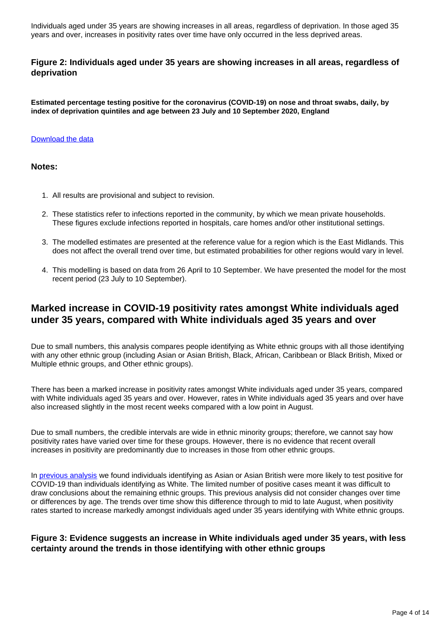Individuals aged under 35 years are showing increases in all areas, regardless of deprivation. In those aged 35 years and over, increases in positivity rates over time have only occurred in the less deprived areas.

#### **Figure 2: Individuals aged under 35 years are showing increases in all areas, regardless of deprivation**

**Estimated percentage testing positive for the coronavirus (COVID-19) on nose and throat swabs, daily, by index of deprivation quintiles and age between 23 July and 10 September 2020, England**

#### [Download the data](https://www.ons.gov.uk/visualisations/dvc991/multiple/age/datadownload.xlsx)

#### **Notes:**

- 1. All results are provisional and subject to revision.
- 2. These statistics refer to infections reported in the community, by which we mean private households. These figures exclude infections reported in hospitals, care homes and/or other institutional settings.
- 3. The modelled estimates are presented at the reference value for a region which is the East Midlands. This does not affect the overall trend over time, but estimated probabilities for other regions would vary in level.
- 4. This modelling is based on data from 26 April to 10 September. We have presented the model for the most recent period (23 July to 10 September).

### **Marked increase in COVID-19 positivity rates amongst White individuals aged under 35 years, compared with White individuals aged 35 years and over**

Due to small numbers, this analysis compares people identifying as White ethnic groups with all those identifying with any other ethnic group (including Asian or Asian British, Black, African, Caribbean or Black British, Mixed or Multiple ethnic groups, and Other ethnic groups).

There has been a marked increase in positivity rates amongst White individuals aged under 35 years, compared with White individuals aged 35 years and over. However, rates in White individuals aged 35 years and over have also increased slightly in the most recent weeks compared with a low point in August.

Due to small numbers, the credible intervals are wide in ethnic minority groups; therefore, we cannot say how positivity rates have varied over time for these groups. However, there is no evidence that recent overall increases in positivity are predominantly due to increases in those from other ethnic groups.

In [previous analysis](https://www.ons.gov.uk/peoplepopulationandcommunity/healthandsocialcare/conditionsanddiseases/articles/coronaviruscovid19infectionsinthecommunityinengland/characteristicsofpeopletestingpositiveforcovid19inenglandaugust2020) we found individuals identifying as Asian or Asian British were more likely to test positive for COVID-19 than individuals identifying as White. The limited number of positive cases meant it was difficult to draw conclusions about the remaining ethnic groups. This previous analysis did not consider changes over time or differences by age. The trends over time show this difference through to mid to late August, when positivity rates started to increase markedly amongst individuals aged under 35 years identifying with White ethnic groups.

#### **Figure 3: Evidence suggests an increase in White individuals aged under 35 years, with less certainty around the trends in those identifying with other ethnic groups**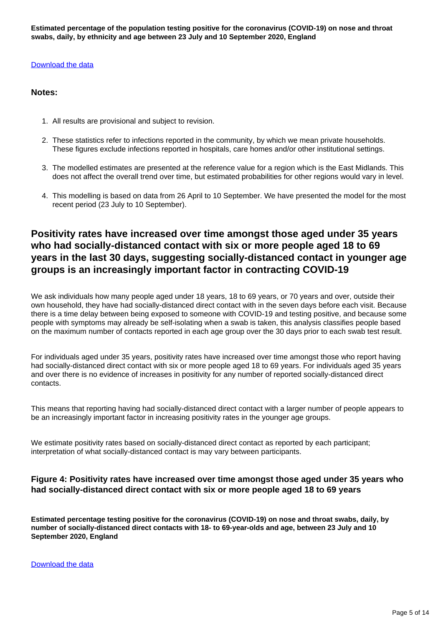**Estimated percentage of the population testing positive for the coronavirus (COVID-19) on nose and throat swabs, daily, by ethnicity and age between 23 July and 10 September 2020, England**

#### [Download the data](https://www.ons.gov.uk/visualisations/dvc991/multiple_ethnic_age/age/datadownload.xlsx)

#### **Notes:**

- 1. All results are provisional and subject to revision.
- 2. These statistics refer to infections reported in the community, by which we mean private households. These figures exclude infections reported in hospitals, care homes and/or other institutional settings.
- 3. The modelled estimates are presented at the reference value for a region which is the East Midlands. This does not affect the overall trend over time, but estimated probabilities for other regions would vary in level.
- 4. This modelling is based on data from 26 April to 10 September. We have presented the model for the most recent period (23 July to 10 September).

## **Positivity rates have increased over time amongst those aged under 35 years who had socially-distanced contact with six or more people aged 18 to 69 years in the last 30 days, suggesting socially-distanced contact in younger age groups is an increasingly important factor in contracting COVID-19**

We ask individuals how many people aged under 18 years, 18 to 69 years, or 70 years and over, outside their own household, they have had socially-distanced direct contact with in the seven days before each visit. Because there is a time delay between being exposed to someone with COVID-19 and testing positive, and because some people with symptoms may already be self-isolating when a swab is taken, this analysis classifies people based on the maximum number of contacts reported in each age group over the 30 days prior to each swab test result.

For individuals aged under 35 years, positivity rates have increased over time amongst those who report having had socially-distanced direct contact with six or more people aged 18 to 69 years. For individuals aged 35 years and over there is no evidence of increases in positivity for any number of reported socially-distanced direct contacts.

This means that reporting having had socially-distanced direct contact with a larger number of people appears to be an increasingly important factor in increasing positivity rates in the younger age groups.

We estimate positivity rates based on socially-distanced direct contact as reported by each participant; interpretation of what socially-distanced contact is may vary between participants.

#### **Figure 4: Positivity rates have increased over time amongst those aged under 35 years who had socially-distanced direct contact with six or more people aged 18 to 69 years**

**Estimated percentage testing positive for the coronavirus (COVID-19) on nose and throat swabs, daily, by number of socially-distanced direct contacts with 18- to 69-year-olds and age, between 23 July and 10 September 2020, England**

[Download the data](https://www.ons.gov.uk/visualisations/dvc991/multiple_contacts/age/datadownload.xlsx)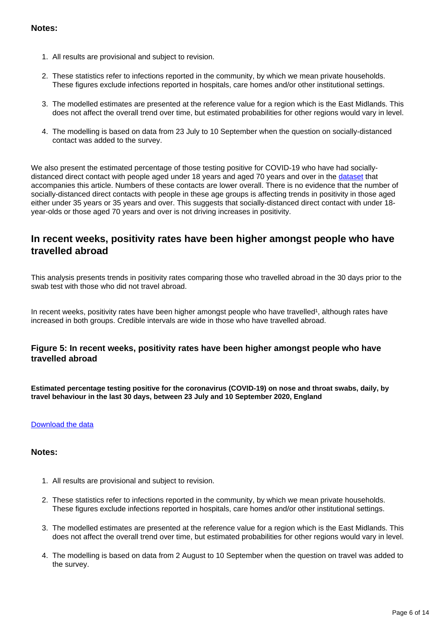#### **Notes:**

- 1. All results are provisional and subject to revision.
- 2. These statistics refer to infections reported in the community, by which we mean private households. These figures exclude infections reported in hospitals, care homes and/or other institutional settings.
- 3. The modelled estimates are presented at the reference value for a region which is the East Midlands. This does not affect the overall trend over time, but estimated probabilities for other regions would vary in level.
- 4. The modelling is based on data from 23 July to 10 September when the question on socially-distanced contact was added to the survey.

We also present the estimated percentage of those testing positive for COVID-19 who have had sociallydistanced direct contact with people aged under 18 years and aged 70 years and over in the [dataset](https://www.ons.gov.uk/peoplepopulationandcommunity/healthandsocialcare/conditionsanddiseases/datasets/coronaviruscovid19infectionsinthecommunityinengland) that accompanies this article. Numbers of these contacts are lower overall. There is no evidence that the number of socially-distanced direct contacts with people in these age groups is affecting trends in positivity in those aged either under 35 years or 35 years and over. This suggests that socially-distanced direct contact with under 18 year-olds or those aged 70 years and over is not driving increases in positivity.

### **In recent weeks, positivity rates have been higher amongst people who have travelled abroad**

This analysis presents trends in positivity rates comparing those who travelled abroad in the 30 days prior to the swab test with those who did not travel abroad.

In recent weeks, positivity rates have been higher amongst people who have travelled<sup>1</sup>, although rates have increased in both groups. Credible intervals are wide in those who have travelled abroad.

#### **Figure 5: In recent weeks, positivity rates have been higher amongst people who have travelled abroad**

**Estimated percentage testing positive for the coronavirus (COVID-19) on nose and throat swabs, daily, by travel behaviour in the last 30 days, between 23 July and 10 September 2020, England**

#### [Download the data](https://www.ons.gov.uk/visualisations/dvc991/multiple_travel/age/datadownload.xlsx)

#### **Notes:**

- 1. All results are provisional and subject to revision.
- 2. These statistics refer to infections reported in the community, by which we mean private households. These figures exclude infections reported in hospitals, care homes and/or other institutional settings.
- 3. The modelled estimates are presented at the reference value for a region which is the East Midlands. This does not affect the overall trend over time, but estimated probabilities for other regions would vary in level.
- 4. The modelling is based on data from 2 August to 10 September when the question on travel was added to the survey.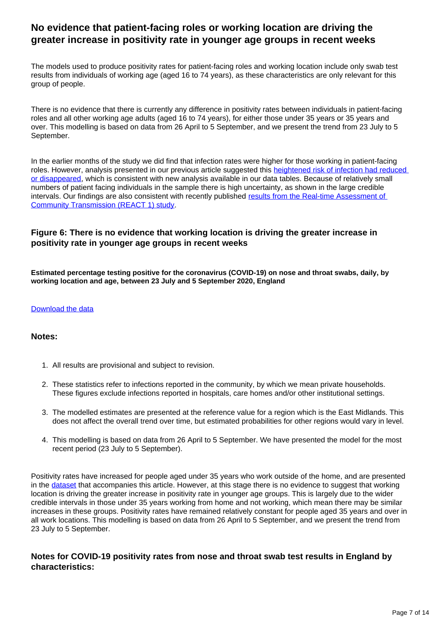## **No evidence that patient-facing roles or working location are driving the greater increase in positivity rate in younger age groups in recent weeks**

The models used to produce positivity rates for patient-facing roles and working location include only swab test results from individuals of working age (aged 16 to 74 years), as these characteristics are only relevant for this group of people.

There is no evidence that there is currently any difference in positivity rates between individuals in patient-facing roles and all other working age adults (aged 16 to 74 years), for either those under 35 years or 35 years and over. This modelling is based on data from 26 April to 5 September, and we present the trend from 23 July to 5 September.

In the earlier months of the study we did find that infection rates were higher for those working in patient-facing roles. However, analysis presented in our previous article suggested this heightened risk of infection had reduced [or disappeared](https://www.ons.gov.uk/peoplepopulationandcommunity/healthandsocialcare/conditionsanddiseases/articles/coronaviruscovid19infectionsinthecommunityinengland/characteristicsofpeopletestingpositiveforcovid19inenglandaugust2020), which is consistent with new analysis available in our data tables. Because of relatively small numbers of patient facing individuals in the sample there is high uncertainty, as shown in the large credible intervals. Our findings are also consistent with recently published results from the Real-time Assessment of [Community Transmission \(REACT 1\) study](https://www.imperial.ac.uk/news/203873/largest-covid19-testing-study-shows-cases/).

#### **Figure 6: There is no evidence that working location is driving the greater increase in positivity rate in younger age groups in recent weeks**

**Estimated percentage testing positive for the coronavirus (COVID-19) on nose and throat swabs, daily, by working location and age, between 23 July and 5 September 2020, England**

#### [Download the data](https://www.ons.gov.uk/visualisations/dvc991/multiple_location/age/datadownload.xlsx)

#### **Notes:**

- 1. All results are provisional and subject to revision.
- 2. These statistics refer to infections reported in the community, by which we mean private households. These figures exclude infections reported in hospitals, care homes and/or other institutional settings.
- 3. The modelled estimates are presented at the reference value for a region which is the East Midlands. This does not affect the overall trend over time, but estimated probabilities for other regions would vary in level.
- 4. This modelling is based on data from 26 April to 5 September. We have presented the model for the most recent period (23 July to 5 September).

Positivity rates have increased for people aged under 35 years who work outside of the home, and are presented in the **dataset** that accompanies this article. However, at this stage there is no evidence to suggest that working location is driving the greater increase in positivity rate in younger age groups. This is largely due to the wider credible intervals in those under 35 years working from home and not working, which mean there may be similar increases in these groups. Positivity rates have remained relatively constant for people aged 35 years and over in all work locations. This modelling is based on data from 26 April to 5 September, and we present the trend from 23 July to 5 September.

#### **Notes for COVID-19 positivity rates from nose and throat swab test results in England by characteristics:**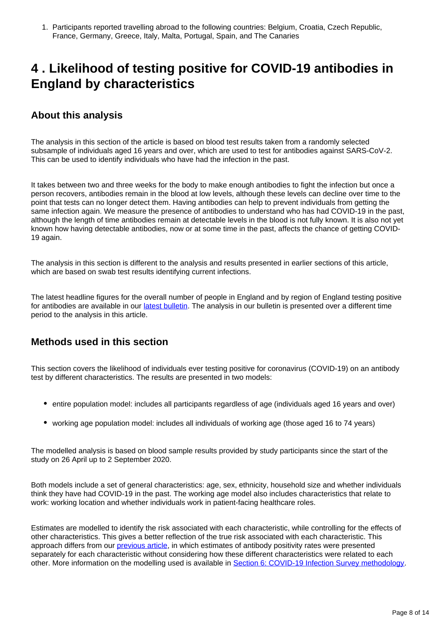1. Participants reported travelling abroad to the following countries: Belgium, Croatia, Czech Republic, France, Germany, Greece, Italy, Malta, Portugal, Spain, and The Canaries

## <span id="page-7-0"></span>**4 . Likelihood of testing positive for COVID-19 antibodies in England by characteristics**

## **About this analysis**

The analysis in this section of the article is based on blood test results taken from a randomly selected subsample of individuals aged 16 years and over, which are used to test for antibodies against SARS-CoV-2. This can be used to identify individuals who have had the infection in the past.

It takes between two and three weeks for the body to make enough antibodies to fight the infection but once a person recovers, antibodies remain in the blood at low levels, although these levels can decline over time to the point that tests can no longer detect them. Having antibodies can help to prevent individuals from getting the same infection again. We measure the presence of antibodies to understand who has had COVID-19 in the past, although the length of time antibodies remain at detectable levels in the blood is not fully known. It is also not yet known how having detectable antibodies, now or at some time in the past, affects the chance of getting COVID-19 again.

The analysis in this section is different to the analysis and results presented in earlier sections of this article, which are based on swab test results identifying current infections.

The latest headline figures for the overall number of people in England and by region of England testing positive for antibodies are available in our [latest bulletin](https://www.ons.gov.uk/peoplepopulationandcommunity/healthandsocialcare/conditionsanddiseases/bulletins/coronaviruscovid19infectionsurveypilot/latest). The analysis in our bulletin is presented over a different time period to the analysis in this article.

## **Methods used in this section**

This section covers the likelihood of individuals ever testing positive for coronavirus (COVID-19) on an antibody test by different characteristics. The results are presented in two models:

- entire population model: includes all participants regardless of age (individuals aged 16 years and over)
- working age population model: includes all individuals of working age (those aged 16 to 74 years)

The modelled analysis is based on blood sample results provided by study participants since the start of the study on 26 April up to 2 September 2020.

Both models include a set of general characteristics: age, sex, ethnicity, household size and whether individuals think they have had COVID-19 in the past. The working age model also includes characteristics that relate to work: working location and whether individuals work in patient-facing healthcare roles.

Estimates are modelled to identify the risk associated with each characteristic, while controlling for the effects of other characteristics. This gives a better reflection of the true risk associated with each characteristic. This approach differs from our *previous article*, in which estimates of antibody positivity rates were presented separately for each characteristic without considering how these different characteristics were related to each other. More information on the modelling used is available in [Section 6: COVID-19 Infection Survey methodology.](https://www.ons.gov.uk/peoplepopulationandcommunity/healthandsocialcare/conditionsanddiseases/articles/coronaviruscovid19infectionsinthecommunityinengland/characteristicsofpeopletestingpositiveforcovid19inenglandseptember2020#covid-19-infection-survey-methodology)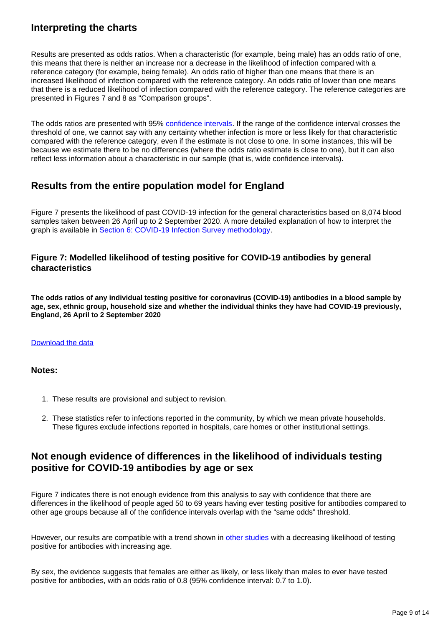## **Interpreting the charts**

Results are presented as odds ratios. When a characteristic (for example, being male) has an odds ratio of one, this means that there is neither an increase nor a decrease in the likelihood of infection compared with a reference category (for example, being female). An odds ratio of higher than one means that there is an increased likelihood of infection compared with the reference category. An odds ratio of lower than one means that there is a reduced likelihood of infection compared with the reference category. The reference categories are presented in Figures 7 and 8 as "Comparison groups".

The odds ratios are presented with 95% [confidence intervals](https://www.ons.gov.uk/methodology/methodologytopicsandstatisticalconcepts/uncertaintyandhowwemeasureit#confidence-interval). If the range of the confidence interval crosses the threshold of one, we cannot say with any certainty whether infection is more or less likely for that characteristic compared with the reference category, even if the estimate is not close to one. In some instances, this will be because we estimate there to be no differences (where the odds ratio estimate is close to one), but it can also reflect less information about a characteristic in our sample (that is, wide confidence intervals).

## **Results from the entire population model for England**

Figure 7 presents the likelihood of past COVID-19 infection for the general characteristics based on 8,074 blood samples taken between 26 April up to 2 September 2020. A more detailed explanation of how to interpret the graph is available in [Section 6: COVID-19 Infection Survey methodology.](https://www.ons.gov.uk/peoplepopulationandcommunity/healthandsocialcare/conditionsanddiseases/articles/coronaviruscovid19infectionsinthecommunityinengland/characteristicsofpeopletestingpositiveforcovid19inenglandseptember2020#covid-19-infection-survey-methodology)

#### **Figure 7: Modelled likelihood of testing positive for COVID-19 antibodies by general characteristics**

**The odds ratios of any individual testing positive for coronavirus (COVID-19) antibodies in a blood sample by age, sex, ethnic group, household size and whether the individual thinks they have had COVID-19 previously, England, 26 April to 2 September 2020**

#### [Download the data](https://www.ons.gov.uk/visualisations/dvc991/fig1/datadownload.xlsx)

#### **Notes:**

- 1. These results are provisional and subject to revision.
- 2. These statistics refer to infections reported in the community, by which we mean private households. These figures exclude infections reported in hospitals, care homes or other institutional settings.

## **Not enough evidence of differences in the likelihood of individuals testing positive for COVID-19 antibodies by age or sex**

Figure 7 indicates there is not enough evidence from this analysis to say with confidence that there are differences in the likelihood of people aged 50 to 69 years having ever testing positive for antibodies compared to other age groups because all of the confidence intervals overlap with the "same odds" threshold.

However, our results are compatible with a trend shown in [other studies](https://www.gov.uk/government/publications/react-2-study-of-coronavirus-antibodies-june-2020-results/react-2-real-time-assessment-of-community-transmission-prevalence-of-coronavirus-covid-19-antibodies-in-june-2020) with a decreasing likelihood of testing positive for antibodies with increasing age.

By sex, the evidence suggests that females are either as likely, or less likely than males to ever have tested positive for antibodies, with an odds ratio of 0.8 (95% confidence interval: 0.7 to 1.0).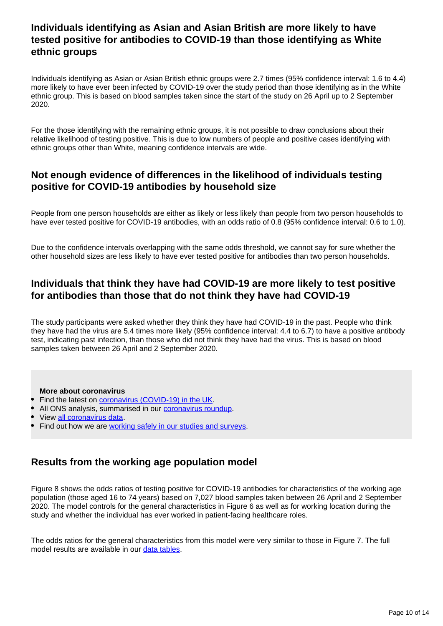## **Individuals identifying as Asian and Asian British are more likely to have tested positive for antibodies to COVID-19 than those identifying as White ethnic groups**

Individuals identifying as Asian or Asian British ethnic groups were 2.7 times (95% confidence interval: 1.6 to 4.4) more likely to have ever been infected by COVID-19 over the study period than those identifying as in the White ethnic group. This is based on blood samples taken since the start of the study on 26 April up to 2 September 2020.

For the those identifying with the remaining ethnic groups, it is not possible to draw conclusions about their relative likelihood of testing positive. This is due to low numbers of people and positive cases identifying with ethnic groups other than White, meaning confidence intervals are wide.

### **Not enough evidence of differences in the likelihood of individuals testing positive for COVID-19 antibodies by household size**

People from one person households are either as likely or less likely than people from two person households to have ever tested positive for COVID-19 antibodies, with an odds ratio of 0.8 (95% confidence interval: 0.6 to 1.0).

Due to the confidence intervals overlapping with the same odds threshold, we cannot say for sure whether the other household sizes are less likely to have ever tested positive for antibodies than two person households.

## **Individuals that think they have had COVID-19 are more likely to test positive for antibodies than those that do not think they have had COVID-19**

The study participants were asked whether they think they have had COVID-19 in the past. People who think they have had the virus are 5.4 times more likely (95% confidence interval: 4.4 to 6.7) to have a positive antibody test, indicating past infection, than those who did not think they have had the virus. This is based on blood samples taken between 26 April and 2 September 2020.

#### **More about coronavirus**

- Find the latest on [coronavirus \(COVID-19\) in the UK.](https://www.ons.gov.uk/peoplepopulationandcommunity/healthandsocialcare/conditionsanddiseases)
- All ONS analysis, summarised in our [coronavirus roundup.](https://www.ons.gov.uk/peoplepopulationandcommunity/healthandsocialcare/conditionsanddiseases/articles/coronaviruscovid19roundup/latest)
- View [all coronavirus data.](https://www.ons.gov.uk/peoplepopulationandcommunity/healthandsocialcare/conditionsanddiseases/datalist)
- Find out how we are [working safely in our studies and surveys.](https://www.ons.gov.uk/news/statementsandletters/ensuringyoursafetyduringcovid19)

### **Results from the working age population model**

Figure 8 shows the odds ratios of testing positive for COVID-19 antibodies for characteristics of the working age population (those aged 16 to 74 years) based on 7,027 blood samples taken between 26 April and 2 September 2020. The model controls for the general characteristics in Figure 6 as well as for working location during the study and whether the individual has ever worked in patient-facing healthcare roles.

The odds ratios for the general characteristics from this model were very similar to those in Figure 7. The full model results are available in our [data tables.](https://www.ons.gov.uk/peoplepopulationandcommunity/healthandsocialcare/conditionsanddiseases/datasets/coronaviruscovid19infectionsinthecommunityinengland)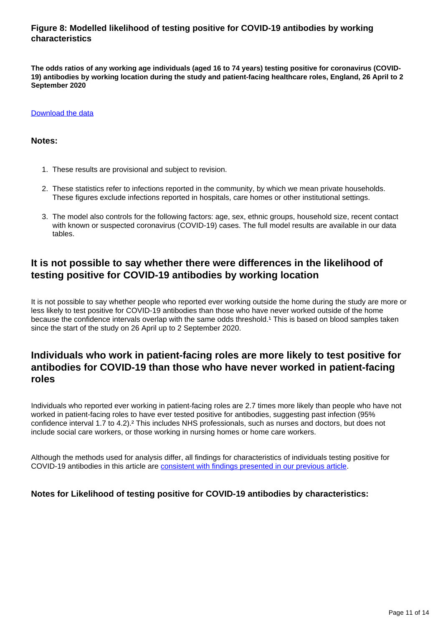#### **Figure 8: Modelled likelihood of testing positive for COVID-19 antibodies by working characteristics**

**The odds ratios of any working age individuals (aged 16 to 74 years) testing positive for coronavirus (COVID-19) antibodies by working location during the study and patient-facing healthcare roles, England, 26 April to 2 September 2020**

#### [Download the data](https://www.ons.gov.uk/visualisations/dvc991/fig2/datadownload.xlsx)

#### **Notes:**

- 1. These results are provisional and subject to revision.
- 2. These statistics refer to infections reported in the community, by which we mean private households. These figures exclude infections reported in hospitals, care homes or other institutional settings.
- 3. The model also controls for the following factors: age, sex, ethnic groups, household size, recent contact with known or suspected coronavirus (COVID-19) cases. The full model results are available in our data tables.

## **It is not possible to say whether there were differences in the likelihood of testing positive for COVID-19 antibodies by working location**

It is not possible to say whether people who reported ever working outside the home during the study are more or less likely to test positive for COVID-19 antibodies than those who have never worked outside of the home because the confidence intervals overlap with the same odds threshold.<sup>1</sup> This is based on blood samples taken since the start of the study on 26 April up to 2 September 2020.

## **Individuals who work in patient-facing roles are more likely to test positive for antibodies for COVID-19 than those who have never worked in patient-facing roles**

Individuals who reported ever working in patient-facing roles are 2.7 times more likely than people who have not worked in patient-facing roles to have ever tested positive for antibodies, suggesting past infection (95% confidence interval 1.7 to 4.2).² This includes NHS professionals, such as nurses and doctors, but does not include social care workers, or those working in nursing homes or home care workers.

Although the methods used for analysis differ, all findings for characteristics of individuals testing positive for COVID-19 antibodies in this article are [consistent with findings presented in our previous article](https://www.ons.gov.uk/peoplepopulationandcommunity/healthandsocialcare/conditionsanddiseases/articles/coronaviruscovid19infectionsinthecommunityinengland/characteristicsofpeopletestingpositiveforcovid19inenglandaugust2020).

#### **Notes for Likelihood of testing positive for COVID-19 antibodies by characteristics:**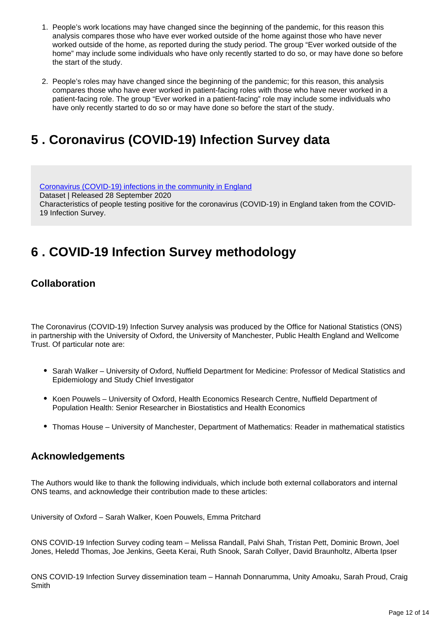- 1. People's work locations may have changed since the beginning of the pandemic, for this reason this analysis compares those who have ever worked outside of the home against those who have never worked outside of the home, as reported during the study period. The group "Ever worked outside of the home" may include some individuals who have only recently started to do so, or may have done so before the start of the study.
- 2. People's roles may have changed since the beginning of the pandemic; for this reason, this analysis compares those who have ever worked in patient-facing roles with those who have never worked in a patient-facing role. The group "Ever worked in a patient-facing" role may include some individuals who have only recently started to do so or may have done so before the start of the study.

## <span id="page-11-0"></span>**5 . Coronavirus (COVID-19) Infection Survey data**

[Coronavirus \(COVID-19\) infections in the community in England](https://www.ons.gov.uk/peoplepopulationandcommunity/healthandsocialcare/conditionsanddiseases/datasets/coronaviruscovid19infectionsinthecommunityinengland) Dataset | Released 28 September 2020 Characteristics of people testing positive for the coronavirus (COVID-19) in England taken from the COVID-19 Infection Survey.

## <span id="page-11-1"></span>**6 . COVID-19 Infection Survey methodology**

## **Collaboration**

The Coronavirus (COVID-19) Infection Survey analysis was produced by the Office for National Statistics (ONS) in partnership with the University of Oxford, the University of Manchester, Public Health England and Wellcome Trust. Of particular note are:

- Sarah Walker University of Oxford, Nuffield Department for Medicine: Professor of Medical Statistics and Epidemiology and Study Chief Investigator
- Koen Pouwels University of Oxford, Health Economics Research Centre, Nuffield Department of Population Health: Senior Researcher in Biostatistics and Health Economics
- Thomas House University of Manchester, Department of Mathematics: Reader in mathematical statistics

### **Acknowledgements**

The Authors would like to thank the following individuals, which include both external collaborators and internal ONS teams, and acknowledge their contribution made to these articles:

University of Oxford – Sarah Walker, Koen Pouwels, Emma Pritchard

ONS COVID-19 Infection Survey coding team – Melissa Randall, Palvi Shah, Tristan Pett, Dominic Brown, Joel Jones, Heledd Thomas, Joe Jenkins, Geeta Kerai, Ruth Snook, Sarah Collyer, David Braunholtz, Alberta Ipser

ONS COVID-19 Infection Survey dissemination team – Hannah Donnarumma, Unity Amoaku, Sarah Proud, Craig **Smith**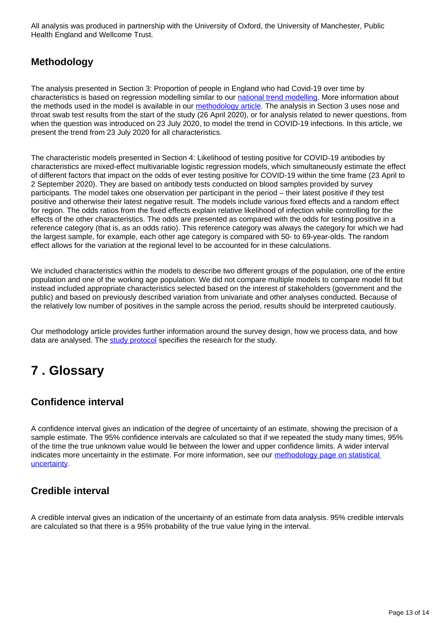All analysis was produced in partnership with the University of Oxford, the University of Manchester, Public Health England and Wellcome Trust.

## **Methodology**

The analysis presented in Section 3: Proportion of people in England who had Covid-19 over time by characteristics is based on regression modelling similar to our [national trend modelling.](https://www.ons.gov.uk/peoplepopulationandcommunity/healthandsocialcare/conditionsanddiseases/bulletins/coronaviruscovid19infectionsurveypilot/latest) More information about the methods used in the model is available in our [methodology article.](https://www.ons.gov.uk/peoplepopulationandcommunity/healthandsocialcare/conditionsanddiseases/methodologies/covid19infectionsurveypilotmethodsandfurtherinformation) The analysis in Section 3 uses nose and throat swab test results from the start of the study (26 April 2020), or for analysis related to newer questions, from when the question was introduced on 23 July 2020, to model the trend in COVID-19 infections. In this article, we present the trend from 23 July 2020 for all characteristics.

The characteristic models presented in Section 4: Likelihood of testing positive for COVID-19 antibodies by characteristics are mixed-effect multivariable logistic regression models, which simultaneously estimate the effect of different factors that impact on the odds of ever testing positive for COVID-19 within the time frame (23 April to 2 September 2020). They are based on antibody tests conducted on blood samples provided by survey participants. The model takes one observation per participant in the period – their latest positive if they test positive and otherwise their latest negative result. The models include various fixed effects and a random effect for region. The odds ratios from the fixed effects explain relative likelihood of infection while controlling for the effects of the other characteristics. The odds are presented as compared with the odds for testing positive in a reference category (that is, as an odds ratio). This reference category was always the category for which we had the largest sample, for example, each other age category is compared with 50- to 69-year-olds. The random effect allows for the variation at the regional level to be accounted for in these calculations.

We included characteristics within the models to describe two different groups of the population, one of the entire population and one of the working age population. We did not compare multiple models to compare model fit but instead included appropriate characteristics selected based on the interest of stakeholders (government and the public) and based on previously described variation from univariate and other analyses conducted. Because of the relatively low number of positives in the sample across the period, results should be interpreted cautiously.

Our methodology article provides further information around the survey design, how we process data, and how data are analysed. The [study protocol](https://www.ndm.ox.ac.uk/covid-19/covid-19-infection-survey/protocol-and-information-sheets) specifies the research for the study.

## <span id="page-12-0"></span>**7 . Glossary**

## **Confidence interval**

A confidence interval gives an indication of the degree of uncertainty of an estimate, showing the precision of a sample estimate. The 95% confidence intervals are calculated so that if we repeated the study many times, 95% of the time the true unknown value would lie between the lower and upper confidence limits. A wider interval indicates more uncertainty in the estimate. For more information, see our methodology page on statistical [uncertainty](https://www.ons.gov.uk/methodology/methodologytopicsandstatisticalconcepts/uncertaintyandhowwemeasureit).

## **Credible interval**

A credible interval gives an indication of the uncertainty of an estimate from data analysis. 95% credible intervals are calculated so that there is a 95% probability of the true value lying in the interval.